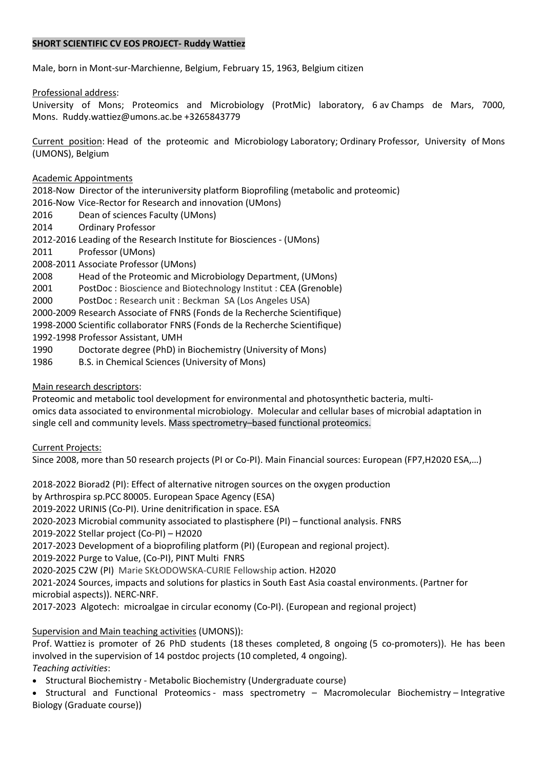## SHORT SCIENTIFIC CV EOS PROJECT- Ruddy Wattiez

Male, born in Mont-sur-Marchienne, Belgium, February 15, 1963, Belgium citizen 

Professional address: 

University of Mons; Proteomics and Microbiology (ProtMic) laboratory, 6 av Champs de Mars, 7000, Mons.  Ruddy.wattiez@umons.ac.be +3265843779

Current position: Head of the proteomic and Microbiology Laboratory; Ordinary Professor, University of Mons (UMONS), Belgium

Academic Appointments

2018-Now Director of the interuniversity platform Bioprofiling (metabolic and proteomic)

2016-Now Vice-Rector for Research and innovation (UMons)

- 2016 Dean of sciences Faculty (UMons)
- 2014 Ordinary Professor

2012-2016 Leading of the Research Institute for Biosciences - (UMons)

2011 Professor (UMons)

2008-2011 Associate Professor (UMons)

2008 Head of the Proteomic and Microbiology Department, (UMons)

2001 PostDoc : Bioscience and Biotechnology Institut : CEA (Grenoble)

2000 PostDoc : Research unit : Beckman SA (Los Angeles USA)

2000-2009 Research Associate of FNRS (Fonds de la Recherche Scientifique)

1998-2000 Scientific collaborator FNRS (Fonds de la Recherche Scientifique)

1992-1998 Professor Assistant, UMH

- 1990 Doctorate degree (PhD) in Biochemistry (University of Mons)
- 1986 B.S. in Chemical Sciences (University of Mons)

### Main research descriptors:

Proteomic and metabolic tool development for environmental and photosynthetic bacteria, multiomics data associated to environmental microbiology.  Molecular and cellular bases of microbial adaptation in single cell and community levels. Mass spectrometry–based functional proteomics.

Current Projects: 

Since 2008, more than 50 research projects (PI or Co-PI). Main Financial sources: European (FP7,H2020 ESA,…)

2018-2022 Biorad2 (PI): Effect of alternative nitrogen sources on the oxygen production by Arthrospira sp.PCC 80005. European Space Agency (ESA) 2019-2022 URINIS (Co-PI). Urine denitrification in space. ESA 2020-2023 Microbial community associated to plastisphere (PI) – functional analysis. FNRS  2019-2022 Stellar project (Co-PI) – H2020  2017-2023 Development of a bioprofiling platform (PI) (European and regional project). 2019-2022 Purge to Value, (Co-PI), PINT Multi FNRS  2020-2025 C2W (PI) Marie SKŁODOWSKA-CURIE Fellowship action. H2020 2021-2024 Sources, impacts and solutions for plastics in South East Asia coastal environments. (Partner for microbial aspects)). NERC-NRF. 2017-2023 Algotech: microalgae in circular economy (Co-PI). (European and regional project)

# Supervision and Main teaching activities (UMONS)):

Prof. Wattiez is promoter of 26 PhD students (18 theses completed, 8 ongoing (5 co-promoters)). He has been involved in the supervision of 14 postdoc projects (10 completed, 4 ongoing). Teaching activities:

Structural Biochemistry - Metabolic Biochemistry (Undergraduate course) 

 Structural and Functional Proteomics - mass spectrometry – Macromolecular Biochemistry – Integrative Biology (Graduate course))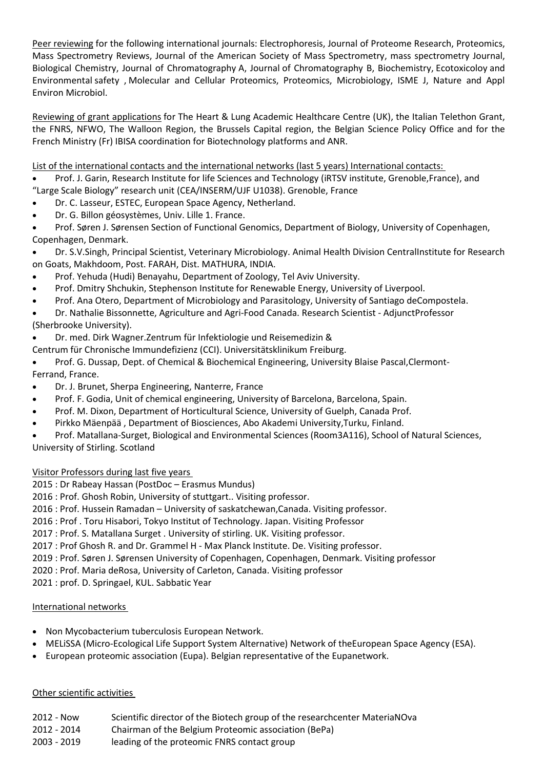Peer reviewing for the following international journals: Electrophoresis, Journal of Proteome Research, Proteomics, Mass Spectrometry Reviews, Journal of the American Society of Mass Spectrometry, mass spectrometry Journal, Biological Chemistry, Journal of Chromatography A, Journal of Chromatography B, Biochemistry, Ecotoxicoloy and Environmental safety , Molecular and Cellular Proteomics, Proteomics, Microbiology, ISME J, Nature and Appl Environ Microbiol.

Reviewing of grant applications for The Heart & Lung Academic Healthcare Centre (UK), the Italian Telethon Grant, the FNRS, NFWO, The Walloon Region, the Brussels Capital region, the Belgian Science Policy Office and for the French Ministry (Fr) IBISA coordination for Biotechnology platforms and ANR.

List of the international contacts and the international networks (last 5 years) International contacts:

- Prof. J. Garin, Research Institute for life Sciences and Technology (iRTSV institute, Grenoble,France), and
- "Large Scale Biology" research unit (CEA/INSERM/UJF U1038). Grenoble, France
- Dr. C. Lasseur, ESTEC, European Space Agency, Netherland.
- Dr. G. Billon géosystèmes, Univ. Lille 1. France.
- Prof. Søren J. Sørensen Section of Functional Genomics, Department of Biology, University of Copenhagen, Copenhagen, Denmark.

## Dr. S.V.Singh, Principal Scientist, Veterinary Microbiology. Animal Health Division CentralInstitute for Research on Goats, Makhdoom, Post. FARAH, Dist. MATHURA, INDIA.

- Prof. Yehuda (Hudi) Benayahu, Department of Zoology, Tel Aviv University.
- Prof. Dmitry Shchukin, Stephenson Institute for Renewable Energy, University of Liverpool.
- Prof. Ana Otero, Department of Microbiology and Parasitology, University of Santiago deCompostela.

Dr. Nathalie Bissonnette, Agriculture and Agri-Food Canada. Research Scientist - AdjunctProfessor

(Sherbrooke University).

- Dr. med. Dirk Wagner.Zentrum für Infektiologie und Reisemedizin &
- Centrum für Chronische Immundefizienz (CCI). Universitätsklinikum Freiburg.
- Prof. G. Dussap, Dept. of Chemical & Biochemical Engineering, University Blaise Pascal,Clermont-Ferrand, France.
- Dr. J. Brunet, Sherpa Engineering, Nanterre, France
- Prof. F. Godia, Unit of chemical engineering, University of Barcelona, Barcelona, Spain.
- Prof. M. Dixon, Department of Horticultural Science, University of Guelph, Canada Prof.
- Pirkko Mäenpää , Department of Biosciences, Abo Akademi University,Turku, Finland.
- Prof. Matallana-Surget, Biological and Environmental Sciences (Room3A116), School of Natural Sciences, University of Stirling. Scotland

# Visitor Professors during last five years

2015 : Dr Rabeay Hassan (PostDoc – Erasmus Mundus)

2016 : Prof. Ghosh Robin, University of stuttgart.. Visiting professor.

- 2016 : Prof. Hussein Ramadan University of saskatchewan,Canada. Visiting professor.
- 2016 : Prof . Toru Hisabori, Tokyo Institut of Technology. Japan. Visiting Professor

2017 : Prof. S. Matallana Surget . University of stirling. UK. Visiting professor.

2017 : Prof Ghosh R. and Dr. Grammel H - Max Planck Institute. De. Visiting professor.

2019 : Prof. Søren J. Sørensen University of Copenhagen, Copenhagen, Denmark. Visiting professor

2020 : Prof. Maria deRosa, University of Carleton, Canada. Visiting professor

2021 : prof. D. Springael, KUL. Sabbatic Year

# International networks

- Non Mycobacterium tuberculosis European Network.
- MELiSSA (Micro-Ecological Life Support System Alternative) Network of theEuropean Space Agency (ESA).
- European proteomic association (Eupa). Belgian representative of the Eupanetwork.

#### Other scientific activities

- 2012 Now Scientific director of the Biotech group of the researchcenter MateriaNOva
- 2012 2014 Chairman of the Belgium Proteomic association (BePa)
- 2003 2019 leading of the proteomic FNRS contact group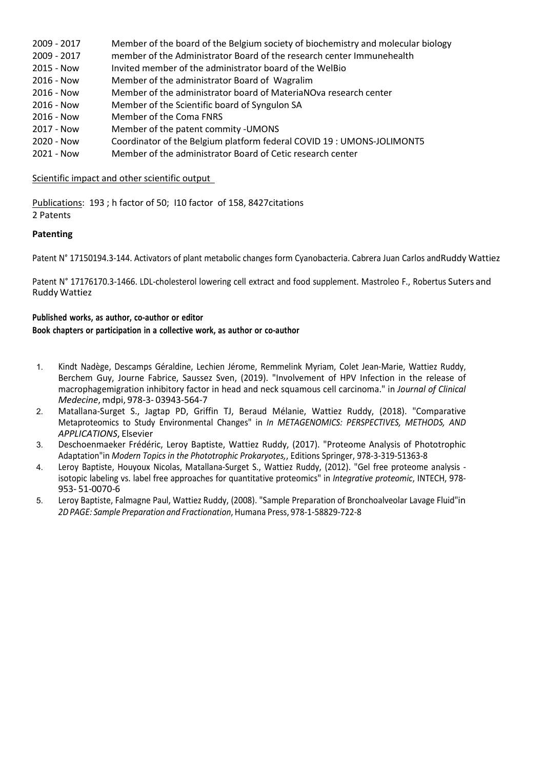| 2009 - 2017  | Member of the board of the Belgium society of biochemistry and molecular biology |
|--------------|----------------------------------------------------------------------------------|
| 2009 - 2017  | member of the Administrator Board of the research center Immunehealth            |
| 2015 - Now   | Invited member of the administrator board of the WelBio                          |
| $2016 - Now$ | Member of the administrator Board of Wagralim                                    |
| $2016 - Now$ | Member of the administrator board of MateriaNOva research center                 |
| $2016 - Now$ | Member of the Scientific board of Syngulon SA                                    |
| 2016 - Now   | Member of the Coma FNRS                                                          |
| 2017 - Now   | Member of the patent commity - UMONS                                             |
| 2020 - Now   | Coordinator of the Belgium platform federal COVID 19 : UMONS-JOLIMONT5           |
| 2021 - Now   | Member of the administrator Board of Cetic research center                       |

## Scientific impact and other scientific output

Publications:  193 ; h factor of 50;  I10 factor of 158, 8427citations  2 Patents

### Patenting

Patent N° 17150194.3-144. Activators of plant metabolic changes form Cyanobacteria. Cabrera Juan Carlos and Ruddy Wattiez

Patent N° 17176170.3-1466. LDL-cholesterol lowering cell extract and food supplement. Mastroleo F., Robertus Suters and Ruddy Wattiez

#### Published works, as author, co-author or editor

#### Book chapters or participation in a collective work, as author or co-author

- 1. Kindt Nadège, Descamps Géraldine, Lechien Jérome, Remmelink Myriam, Colet Jean-Marie, Wattiez Ruddy, Berchem Guy, Journe Fabrice, Saussez Sven, (2019). "Involvement of HPV Infection in the release of macrophagemigration inhibitory factor in head and neck squamous cell carcinoma." in Journal of Clinical Medecine, mdpi, 978-3- 03943-564-7
- 2. Matallana-Surget S., Jagtap PD, Griffin TJ, Beraud Mélanie, Wattiez Ruddy, (2018). "Comparative Metaproteomics to Study Environmental Changes" in In METAGENOMICS: PERSPECTIVES, METHODS, AND APPLICATIONS, Elsevier
- 3. Deschoenmaeker Frédéric, Leroy Baptiste, Wattiez Ruddy, (2017). "Proteome Analysis of Phototrophic Adaptation"in Modern Topics in the Phototrophic Prokaryotes,, Editions Springer, 978-3-319-51363-8
- 4. Leroy Baptiste, Houyoux Nicolas, Matallana-Surget S., Wattiez Ruddy, (2012). "Gel free proteome analysis isotopic labeling vs. label free approaches for quantitative proteomics" in Integrative proteomic, INTECH, 978-953- 51-0070-6
- 5. Leroy Baptiste, Falmagne Paul, Wattiez Ruddy, (2008). "Sample Preparation of Bronchoalveolar Lavage Fluid" in 2D PAGE: Sample Preparation and Fractionation, Humana Press, 978-1-58829-722-8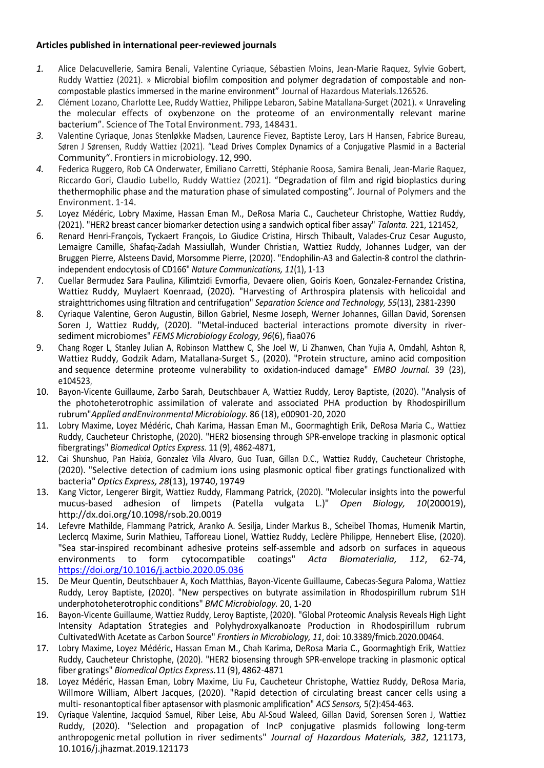## Articles published in international peer-reviewed journals

- 1. Alice Delacuvellerie, Samira Benali, Valentine Cyriaque, Sébastien Moins, Jean-Marie Raquez, Sylvie Gobert, Ruddy Wattiez (2021). » Microbial biofilm composition and polymer degradation of compostable and noncompostable plastics immersed in the marine environment" Journal of Hazardous Materials.126526.
- 2. Clément Lozano, Charlotte Lee, Ruddy Wattiez, Philippe Lebaron, Sabine Matallana-Surget (2021). « Unraveling the molecular effects of oxybenzone on the proteome of an environmentally relevant marine bacterium". Science of The Total Environment. 793, 148431.
- 3. Valentine Cyriaque, Jonas Stenløkke Madsen, Laurence Fievez, Baptiste Leroy, Lars H Hansen, Fabrice Bureau, Søren J Sørensen, Ruddy Wattiez (2021). "Lead Drives Complex Dynamics of a Conjugative Plasmid in a Bacterial Community". Frontiers in microbiology. 12, 990.
- 4. Federica Ruggero, Rob CA Onderwater, Emiliano Carretti, Stéphanie Roosa, Samira Benali, Jean-Marie Raquez, Riccardo Gori, Claudio Lubello, Ruddy Wattiez (2021). "Degradation of film and rigid bioplastics during the thermophilic phase and the maturation phase of simulated composting". Journal of Polymers and the Environment. 1-14.
- 5. Loyez Médéric, Lobry Maxime, Hassan Eman M., DeRosa Maria C., Caucheteur Christophe, Wattiez Ruddy, (2021). "HER2 breast cancer biomarker detection using a sandwich optical fiber assay" Talanta. 221, 121452,
- 6. Renard Henri-François, Tyckaert François, Lo Giudice Cristina, Hirsch Thibault, Valades-Cruz Cesar Augusto, Lemaigre Camille, Shafaq-Zadah Massiullah, Wunder Christian, Wattiez Ruddy, Johannes Ludger, van der Bruggen Pierre, Alsteens David, Morsomme Pierre, (2020). "Endophilin-A3 and Galectin-8 control the clathrinindependent endocytosis of CD166" Nature Communications, 11(1), 1-13
- 7. Cuellar Bermudez Sara Paulina, Kilimtzidi Evmorfia, Devaere olien, Goiris Koen, Gonzalez-Fernandez Cristina, Wattiez Ruddy, Muylaert Koenraad, (2020). "Harvesting of Arthrospira platensis with helicoidal and straight trichomes using filtration and centrifugation" Separation Science and Technology, 55(13), 2381-2390
- 8. Cyriaque Valentine, Geron Augustin, Billon Gabriel, Nesme Joseph, Werner Johannes, Gillan David, Sorensen Soren J, Wattiez Ruddy, (2020). "Metal-induced bacterial interactions promote diversity in riversediment microbiomes" FEMS Microbiology Ecology, 96(6), fiaa076
- 9. Chang Roger L, Stanley Julian A, Robinson Matthew C, She Joel W, Li Zhanwen, Chan Yujia A, Omdahl, Ashton R, Wattiez Ruddy, Godzik Adam, Matallana-Surget S., (2020). "Protein structure, amino acid composition and sequence determine proteome vulnerability to oxidation-induced damage" EMBO Journal. 39 (23), e104523,
- 10. Bayon-Vicente Guillaume, Zarbo Sarah, Deutschbauer A, Wattiez Ruddy, Leroy Baptiste, (2020). "Analysis of the photoheterotrophic assimilation of valerate and associated PHA production by Rhodospirillum rubrum" Applied andEnvironmental Microbiology. 86 (18), e00901-20, 2020
- 11. Lobry Maxime, Loyez Médéric, Chah Karima, Hassan Eman M., Goormaghtigh Erik, DeRosa Maria C., Wattiez Ruddy, Caucheteur Christophe, (2020). "HER2 biosensing through SPR-envelope tracking in plasmonic optical fibergratings" Biomedical Optics Express. 11 (9), 4862-4871,
- 12. Cai Shunshuo, Pan Haixia, Gonzalez Vila Alvaro, Guo Tuan, Gillan D.C., Wattiez Ruddy, Caucheteur Christophe, (2020). "Selective detection of cadmium ions using plasmonic optical fiber gratings functionalized with bacteria" Optics Express, 28(13), 19740, 19749
- 13. Kang Victor, Lengerer Birgit, Wattiez Ruddy, Flammang Patrick, (2020). "Molecular insights into the powerful mucus-based adhesion of limpets (Patella vulgata L.)" Open Biology, 10(200019), http://dx.doi.org/10.1098/rsob.20.0019
- 14. Lefevre Mathilde, Flammang Patrick, Aranko A. Sesilja, Linder Markus B., Scheibel Thomas, Humenik Martin, Leclercq Maxime, Surin Mathieu, Tafforeau Lionel, Wattiez Ruddy, Leclère Philippe, Hennebert Elise, (2020). "Sea star-inspired recombinant adhesive proteins self-assemble and adsorb on surfaces in aqueous environments to form cytocompatible coatings" Acta Biomaterialia, 112, 62-74, https://doi.org/10.1016/j.actbio.2020.05.036
- 15. De Meur Quentin, Deutschbauer A, Koch Matthias, Bayon-Vicente Guillaume, Cabecas-Segura Paloma, Wattiez Ruddy, Leroy Baptiste, (2020). "New perspectives on butyrate assimilation in Rhodospirillum rubrum S1H under photoheterotrophic conditions" BMC Microbiology. 20, 1-20
- 16. Bayon-Vicente Guillaume, Wattiez Ruddy, Leroy Baptiste, (2020). "Global Proteomic Analysis Reveals High Light Intensity Adaptation Strategies and Polyhydroxyalkanoate Production in Rhodospirillum rubrum Cultivated With Acetate as Carbon Source" Frontiers in Microbiology, 11, doi: 10.3389/fmicb.2020.00464.
- 17. Lobry Maxime, Loyez Médéric, Hassan Eman M., Chah Karima, DeRosa Maria C., Goormaghtigh Erik, Wattiez Ruddy, Caucheteur Christophe, (2020). "HER2 biosensing through SPR-envelope tracking in plasmonic optical fiber gratings" Biomedical Optics Express.11 (9), 4862-4871
- 18. Loyez Médéric, Hassan Eman, Lobry Maxime, Liu Fu, Caucheteur Christophe, Wattiez Ruddy, DeRosa Maria, Willmore William, Albert Jacques, (2020). "Rapid detection of circulating breast cancer cells using a multi- resonantoptical fiber aptasensor with plasmonic amplification" ACS Sensors, 5(2):454-463.
- 19. Cyriaque Valentine, Jacquiod Samuel, Riber Leise, Abu Al-Soud Waleed, Gillan David, Sorensen Soren J, Wattiez Ruddy, (2020). "Selection and propagation of IncP conjugative plasmids following long-term anthropogenic metal pollution in river sediments" Journal of Hazardous Materials, 382, 121173, 10.1016/j.jhazmat.2019.121173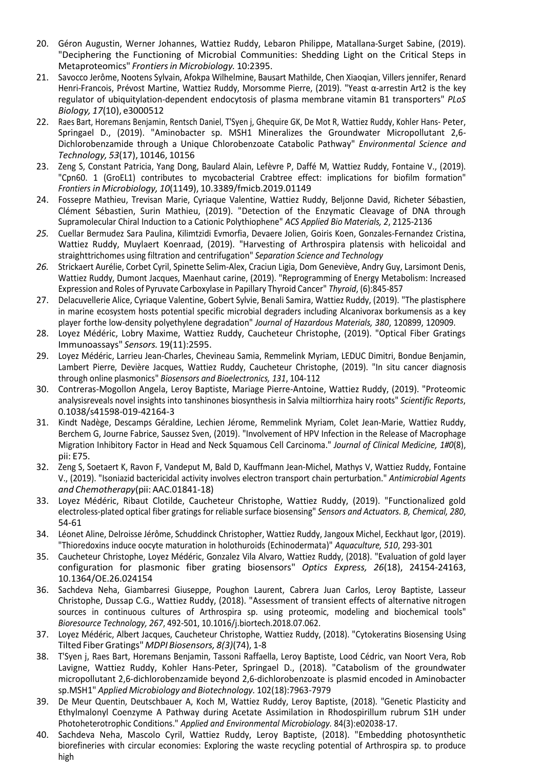- 20. Géron Augustin, Werner Johannes, Wattiez Ruddy, Lebaron Philippe, Matallana-Surget Sabine, (2019). "Deciphering the Functioning of Microbial Communities: Shedding Light on the Critical Steps in Metaproteomics" Frontiers in Microbiology. 10:2395.
- 21. Savocco Jerôme, Nootens Sylvain, Afokpa Wilhelmine, Bausart Mathilde, Chen Xiaoqian, Villers jennifer, Renard Henri-Francois, Prévost Martine, Wattiez Ruddy, Morsomme Pierre, (2019). "Yeast α-arrestin Art2 is the key regulator of ubiquitylation-dependent endocytosis of plasma membrane vitamin B1 transporters" PLoS Biology, 17(10), e3000512
- 22. Raes Bart, Horemans Benjamin, Rentsch Daniel, T'Syen j, Ghequire GK, De Mot R, Wattiez Ruddy, Kohler Hans- Peter, Springael D., (2019). "Aminobacter sp. MSH1 Mineralizes the Groundwater Micropollutant 2,6- Dichlorobenzamide through a Unique Chlorobenzoate Catabolic Pathway" Environmental Science and Technology, 53(17), 10146, 10156
- 23. Zeng S, Constant Patricia, Yang Dong, Baulard Alain, Lefèvre P, Daffé M, Wattiez Ruddy, Fontaine V., (2019). "Cpn60. 1 (GroEL1) contributes to mycobacterial Crabtree effect: implications for biofilm formation" Frontiers in Microbiology, 10(1149), 10.3389/fmicb.2019.01149
- 24. Fossepre Mathieu, Trevisan Marie, Cyriaque Valentine, Wattiez Ruddy, Beljonne David, Richeter Sébastien, Clément Sébastien, Surin Mathieu, (2019). "Detection of the Enzymatic Cleavage of DNA through Supramolecular Chiral Induction to a Cationic Polythiophene" ACS Applied Bio Materials, 2, 2125-2136
- 25. Cuellar Bermudez Sara Paulina, Kilimtzidi Evmorfia, Devaere Jolien, Goiris Koen, Gonzales-Fernandez Cristina, Wattiez Ruddy, Muylaert Koenraad, (2019). "Harvesting of Arthrospira platensis with helicoidal and straight trichomes using filtration and centrifugation" Separation Science and Technology
- 26. Strickaert Aurélie, Corbet Cyril, Spinette Selim-Alex, Craciun Ligia, Dom Geneviève, Andry Guy, Larsimont Denis, Wattiez Ruddy, Dumont Jacques, Maenhaut carine, (2019). "Reprogramming of Energy Metabolism: Increased Expression and Roles of Pyruvate Carboxylase in Papillary Thyroid Cancer" Thyroid, (6):845-857
- 27. Delacuvellerie Alice, Cyriaque Valentine, Gobert Sylvie, Benali Samira, Wattiez Ruddy, (2019). "The plastisphere in marine ecosystem hosts potential specific microbial degraders including Alcanivorax borkumensis as a key player forthe low-density polyethylene degradation" Journal of Hazardous Materials, 380, 120899, 120909.
- 28. Loyez Médéric, Lobry Maxime, Wattiez Ruddy, Caucheteur Christophe, (2019). "Optical Fiber Gratings Immunoassays" Sensors. 19(11):2595.
- 29. Loyez Médéric, Larrieu Jean-Charles, Chevineau Samia, Remmelink Myriam, LEDUC Dimitri, Bondue Benjamin, Lambert Pierre, Devière Jacques, Wattiez Ruddy, Caucheteur Christophe, (2019). "In situ cancer diagnosis through online plasmonics" Biosensors and Bioelectronics, 131, 104-112
- 30. Contreras-Mogollon Angela, Leroy Baptiste, Mariage Pierre-Antoine, Wattiez Ruddy, (2019). "Proteomic analysisreveals novel insights into tanshinones biosynthesis in Salvia miltiorrhiza hairy roots" Scientific Reports, 0.1038/s41598-019-42164-3
- 31. Kindt Nadège, Descamps Géraldine, Lechien Jérome, Remmelink Myriam, Colet Jean-Marie, Wattiez Ruddy, Berchem G, Journe Fabrice, Saussez Sven, (2019). "Involvement of HPV Infection in the Release of Macrophage Migration Inhibitory Factor in Head and Neck Squamous Cell Carcinoma." Journal of Clinical Medicine, 1#0(8), pii: E75.
- 32. Zeng S, Soetaert K, Ravon F, Vandeput M, Bald D, Kauffmann Jean-Michel, Mathys V, Wattiez Ruddy, Fontaine V., (2019). "Isoniazid bactericidal activity involves electron transport chain perturbation." Antimicrobial Agents and Chemotherapy(pii: AAC.01841-18)
- 33. Loyez Médéric, Ribaut Clotilde, Caucheteur Christophe, Wattiez Ruddy, (2019). "Functionalized gold electroless-plated optical fiber gratings for reliable surface biosensing" Sensors and Actuators. B, Chemical, 280, 54-61
- 34. Léonet Aline, Delroisse Jérôme, Schuddinck Christopher, Wattiez Ruddy, Jangoux Michel, Eeckhaut Igor, (2019). "Thioredoxins induce oocyte maturation in holothuroids (Echinodermata)" Aquaculture, 510, 293-301
- 35. Caucheteur Christophe, Loyez Médéric, Gonzalez Vila Alvaro, Wattiez Ruddy, (2018). "Evaluation of gold layer configuration for plasmonic fiber grating biosensors" Optics Express, 26(18), 24154-24163, 10.1364/OE.26.024154
- 36. Sachdeva Neha, Giambarresi Giuseppe, Poughon Laurent, Cabrera Juan Carlos, Leroy Baptiste, Lasseur Christophe, Dussap C.G., Wattiez Ruddy, (2018). "Assessment of transient effects of alternative nitrogen sources in continuous cultures of Arthrospira sp. using proteomic, modeling and biochemical tools" Bioresource Technology, 267, 492-501, 10.1016/j.biortech.2018.07.062.
- 37. Loyez Médéric, Albert Jacques, Caucheteur Christophe, Wattiez Ruddy, (2018). "Cytokeratins Biosensing Using Tilted Fiber Gratings" MDPI Biosensors, 8(3)(74), 1-8
- 38. T'Syen j, Raes Bart, Horemans Benjamin, Tassoni Raffaella, Leroy Baptiste, Lood Cédric, van Noort Vera, Rob Lavigne, Wattiez Ruddy, Kohler Hans-Peter, Springael D., (2018). "Catabolism of the groundwater micropollutant 2,6-dichlorobenzamide beyond 2,6-dichlorobenzoate is plasmid encoded in Aminobacter sp. MSH1" Applied Microbiology and Biotechnology. 102(18):7963-7979
- 39. De Meur Quentin, Deutschbauer A, Koch M, Wattiez Ruddy, Leroy Baptiste, (2018). "Genetic Plasticity and Ethylmalonyl Coenzyme A Pathway during Acetate Assimilation in Rhodospirillum rubrum S1H under Photoheterotrophic Conditions." Applied and Environmental Microbiology. 84(3):e02038-17.
- 40. Sachdeva Neha, Mascolo Cyril, Wattiez Ruddy, Leroy Baptiste, (2018). "Embedding photosynthetic biorefineries with circular economies: Exploring the waste recycling potential of Arthrospira sp. to produce high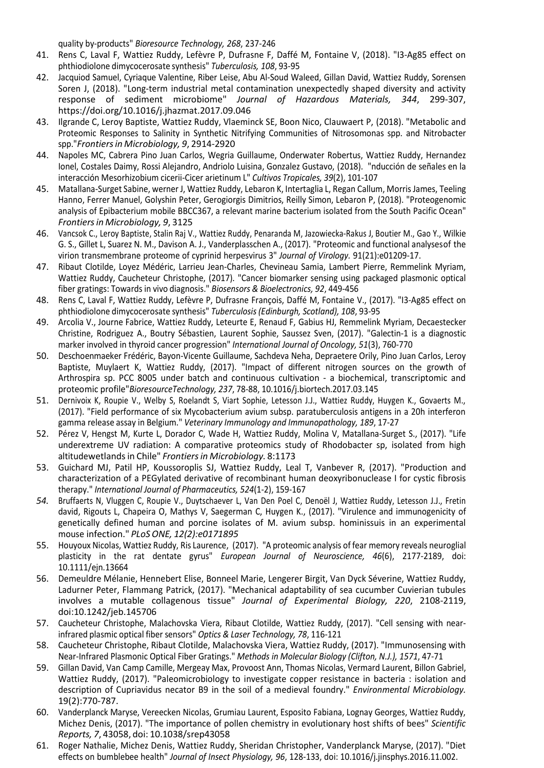quality by-products" Bioresource Technology, 268, 237-246

- 41. Rens C, Laval F, Wattiez Ruddy, Lefèvre P, Dufrasne F, Daffé M, Fontaine V, (2018). "I3-Ag85 effect on phthiodiolone dimycocerosate synthesis" Tuberculosis, 108, 93-95
- 42. Jacquiod Samuel, Cyriaque Valentine, Riber Leise, Abu Al-Soud Waleed, Gillan David, Wattiez Ruddy, Sorensen Soren J, (2018). "Long-term industrial metal contamination unexpectedly shaped diversity and activity response of sediment microbiome" Journal of Hazardous Materials, 344, 299-307, https://doi.org/10.1016/j.jhazmat.2017.09.046
- 43. Ilgrande C, Leroy Baptiste, Wattiez Ruddy, Vlaeminck SE, Boon Nico, Clauwaert P, (2018). "Metabolic and Proteomic Responses to Salinity in Synthetic Nitrifying Communities of Nitrosomonas spp. and Nitrobacter spp." Frontiers in Microbiology, 9, 2914-2920
- 44. Napoles MC, Cabrera Pino Juan Carlos, Wegria Guillaume, Onderwater Robertus, Wattiez Ruddy, Hernandez Ionel, Costales Daimy, Rossi Alejandro, Andriolo Luisina, Gonzalez Gustavo, (2018). "nducción de señales en la interacción Mesorhizobium cicerii-Cicer arietinum L" Cultivos Tropicales, 39(2), 101-107
- 45. Matallana-Surget Sabine, werner J, Wattiez Ruddy, Lebaron K, Intertaglia L, Regan Callum, Morris James, Teeling Hanno, Ferrer Manuel, Golyshin Peter, Gerogiorgis Dimitrios, Reilly Simon, Lebaron P, (2018). "Proteogenomic analysis of Epibacterium mobile BBCC367, a relevant marine bacterium isolated from the South Pacific Ocean" Frontiers in Microbiology, 9, 3125
- 46. Vancsok C., Leroy Baptiste, Stalin Raj V., Wattiez Ruddy, Penaranda M, Jazowiecka-Rakus J, Boutier M., Gao Y., Wilkie G. S., Gillet L, Suarez N. M., Davison A. J., Vanderplasschen A., (2017). "Proteomic and functional analyses of the virion transmembrane proteome of cyprinid herpesvirus 3" Journal of Virology. 91(21):e01209-17.
- 47. Ribaut Clotilde, Loyez Médéric, Larrieu Jean-Charles, Chevineau Samia, Lambert Pierre, Remmelink Myriam, Wattiez Ruddy, Caucheteur Christophe, (2017). "Cancer biomarker sensing using packaged plasmonic optical fiber gratings: Towards in vivo diagnosis." Biosensors & Bioelectronics, 92, 449-456
- 48. Rens C, Laval F, Wattiez Ruddy, Lefèvre P, Dufrasne François, Daffé M, Fontaine V., (2017). "I3-Ag85 effect on phthiodiolone dimycocerosate synthesis" Tuberculosis (Edinburgh, Scotland), 108, 93-95
- 49. Arcolia V., Journe Fabrice, Wattiez Ruddy, Leteurte E, Renaud F, Gabius HJ, Remmelink Myriam, Decaestecker Christine, Rodriguez A., Boutry Sébastien, Laurent Sophie, Saussez Sven, (2017). "Galectin-1 is a diagnostic marker involved in thyroid cancer progression" International Journal of Oncology, 51(3), 760-770
- 50. Deschoenmaeker Frédéric, Bayon-Vicente Guillaume, Sachdeva Neha, Depraetere Orily, Pino Juan Carlos, Leroy Baptiste, Muylaert K, Wattiez Ruddy, (2017). "Impact of different nitrogen sources on the growth of Arthrospira sp. PCC 8005 under batch and continuous cultivation - a biochemical, transcriptomic and proteomic profile" BioresourceTechnology, 237, 78-88, 10.1016/j.biortech.2017.03.145
- 51. Dernivoix K, Roupie V., Welby S, Roelandt S, Viart Sophie, Letesson J.J., Wattiez Ruddy, Huygen K., Govaerts M., (2017). "Field performance of six Mycobacterium avium subsp. paratuberculosis antigens in a 20h interferon gamma release assay in Belgium." Veterinary Immunology and Immunopathology, 189, 17-27
- 52. Pérez V, Hengst M, Kurte L, Dorador C, Wade H, Wattiez Ruddy, Molina V, Matallana-Surget S., (2017). "Life underextreme UV radiation: A comparative proteomics study of Rhodobacter sp, isolated from high altitude wetlands in Chile" Frontiers in Microbiology. 8:1173
- 53. Guichard MJ, Patil HP, Koussoroplis SJ, Wattiez Ruddy, Leal T, Vanbever R, (2017). "Production and characterization of a PEGylated derivative of recombinant human deoxyribonuclease I for cystic fibrosis therapy." International Journal of Pharmaceutics, 524(1-2), 159-167
- 54. Bruffaerts N, Vluggen C, Roupie V., Duytschaever L, Van Den Poel C, Denoël J, Wattiez Ruddy, Letesson J.J., Fretin david, Rigouts L, Chapeira O, Mathys V, Saegerman C, Huygen K., (2017). "Virulence and immunogenicity of genetically defined human and porcine isolates of M. avium subsp. hominissuis in an experimental mouse infection." PLoS ONE, 12(2):e0171895
- 55. Houyoux Nicolas, Wattiez Ruddy, Ris Laurence, (2017). "A proteomic analysis of fear memory reveals neuroglial plasticity in the rat dentate gyrus" European Journal of Neuroscience, 46(6), 2177-2189, doi: 10.1111/ejn.13664
- 56. Demeuldre Mélanie, Hennebert Elise, Bonneel Marie, Lengerer Birgit, Van Dyck Séverine, Wattiez Ruddy, Ladurner Peter, Flammang Patrick, (2017). "Mechanical adaptability of sea cucumber Cuvierian tubules involves a mutable collagenous tissue" Journal of Experimental Biology, 220, 2108-2119, doi:10.1242/jeb.145706
- 57. Caucheteur Christophe, Malachovska Viera, Ribaut Clotilde, Wattiez Ruddy, (2017). "Cell sensing with nearinfrared plasmic optical fiber sensors" Optics & Laser Technology, 78, 116-121
- 58. Caucheteur Christophe, Ribaut Clotilde, Malachovska Viera, Wattiez Ruddy, (2017). "Immunosensing with Near-Infrared Plasmonic Optical Fiber Gratings." Methods in Molecular Biology (Clifton, N.J.), 1571, 47-71
- 59. Gillan David, Van Camp Camille, Mergeay Max, Provoost Ann, Thomas Nicolas, Vermard Laurent, Billon Gabriel, Wattiez Ruddy, (2017). "Paleomicrobiology to investigate copper resistance in bacteria : isolation and description of Cupriavidus necator B9 in the soil of a medieval foundry." Environmental Microbiology. 19(2):770-787.
- 60. Vanderplanck Maryse, Vereecken Nicolas, Grumiau Laurent, Esposito Fabiana, Lognay Georges, Wattiez Ruddy, Michez Denis, (2017). "The importance of pollen chemistry in evolutionary host shifts of bees" Scientific Reports, 7, 43058, doi: 10.1038/srep43058
- 61. Roger Nathalie, Michez Denis, Wattiez Ruddy, Sheridan Christopher, Vanderplanck Maryse, (2017). "Diet effects on bumblebee health" Journal of Insect Physiology, 96, 128-133, doi: 10.1016/j.jinsphys.2016.11.002.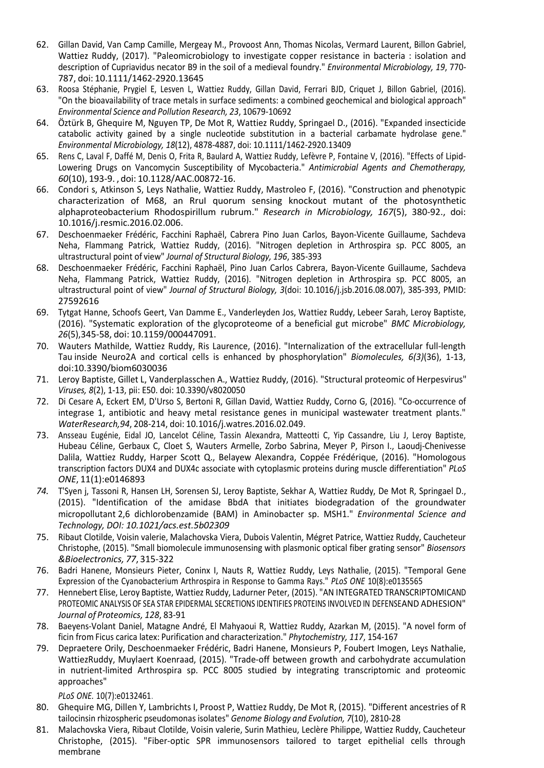- 62. Gillan David, Van Camp Camille, Mergeay M., Provoost Ann, Thomas Nicolas, Vermard Laurent, Billon Gabriel, Wattiez Ruddy, (2017). "Paleomicrobiology to investigate copper resistance in bacteria : isolation and description of Cupriavidus necator B9 in the soil of a medieval foundry." Environmental Microbiology, 19, 770- 787, doi: 10.1111/1462-2920.13645
- 63. Roosa Stéphanie, Prygiel E, Lesven L, Wattiez Ruddy, Gillan David, Ferrari BJD, Criquet J, Billon Gabriel, (2016). "On the bioavailability of trace metals in surface sediments: a combined geochemical and biological approach" Environmental Science and Pollution Research, 23, 10679-10692
- 64. Öztürk B, Ghequire M, Nguyen TP, De Mot R, Wattiez Ruddy, Springael D., (2016). "Expanded insecticide catabolic activity gained by a single nucleotide substitution in a bacterial carbamate hydrolase gene." Environmental Microbiology, 18(12), 4878-4887, doi: 10.1111/1462-2920.13409
- 65. Rens C, Laval F, Daffé M, Denis O, Frita R, Baulard A, Wattiez Ruddy, Lefèvre P, Fontaine V, (2016). "Effects of Lipid-Lowering Drugs on Vancomycin Susceptibility of Mycobacteria." Antimicrobial Agents and Chemotherapy, 60(10), 193-9. , doi: 10.1128/AAC.00872-16.
- 66. Condori s, Atkinson S, Leys Nathalie, Wattiez Ruddy, Mastroleo F, (2016). "Construction and phenotypic characterization of M68, an RruI quorum sensing knockout mutant of the photosynthetic alphaproteobacterium Rhodospirillum rubrum." Research in Microbiology, 167(5), 380-92., doi: 10.1016/j.resmic.2016.02.006.
- 67. Deschoenmaeker Frédéric, Facchini Raphaël, Cabrera Pino Juan Carlos, Bayon-Vicente Guillaume, Sachdeva Neha, Flammang Patrick, Wattiez Ruddy, (2016). "Nitrogen depletion in Arthrospira sp. PCC 8005, an ultrastructural point of view" Journal of Structural Biology, 196, 385-393
- 68. Deschoenmaeker Frédéric, Facchini Raphaël, Pino Juan Carlos Cabrera, Bayon-Vicente Guillaume, Sachdeva Neha, Flammang Patrick, Wattiez Ruddy, (2016). "Nitrogen depletion in Arthrospira sp. PCC 8005, an ultrastructural point of view" Journal of Structural Biology, 3(doi: 10.1016/j.jsb.2016.08.007), 385-393, PMID: 27592616
- 69. Tytgat Hanne, Schoofs Geert, Van Damme E., Vanderleyden Jos, Wattiez Ruddy, Lebeer Sarah, Leroy Baptiste, (2016). "Systematic exploration of the glycoproteome of a beneficial gut microbe" BMC Microbiology, 26(5), 345-58, doi: 10.1159/000447091.
- 70. Wauters Mathilde, Wattiez Ruddy, Ris Laurence, (2016). "Internalization of the extracellular full-length Tau inside Neuro2A and cortical cells is enhanced by phosphorylation" Biomolecules, 6(3)(36), 1-13, doi:10.3390/biom6030036
- 71. Leroy Baptiste, Gillet L, Vanderplasschen A., Wattiez Ruddy, (2016). "Structural proteomic of Herpesvirus" Viruses, 8(2), 1-13, pii: E50. doi: 10.3390/v8020050
- 72. Di Cesare A, Eckert EM, D'Urso S, Bertoni R, Gillan David, Wattiez Ruddy, Corno G, (2016). "Co-occurrence of integrase 1, antibiotic and heavy metal resistance genes in municipal wastewater treatment plants." Water Research,94, 208-214, doi: 10.1016/j.watres.2016.02.049.
- 73. Ansseau Eugénie, Eidal JO, Lancelot Céline, Tassin Alexandra, Matteotti C, Yip Cassandre, Liu J, Leroy Baptiste, Hubeau Céline, Gerbaux C, Cloet S, Wauters Armelle, Zorbo Sabrina, Meyer P, Pirson I., Laoudj-Chenivesse Dalila, Wattiez Ruddy, Harper Scott Q., Belayew Alexandra, Coppée Frédérique, (2016). "Homologous transcription factors DUX4 and DUX4c associate with cytoplasmic proteins during muscle differentiation" PLoS ONE, 11(1):e0146893
- 74. T'Syen j, Tassoni R, Hansen LH, Sorensen SJ, Leroy Baptiste, Sekhar A, Wattiez Ruddy, De Mot R, Springael D., (2015). "Identification of the amidase BbdA that initiates biodegradation of the groundwater micropollutant 2,6 dichlorobenzamide (BAM) in Aminobacter sp. MSH1." Environmental Science and Technology, DOI: 10.1021/acs.est.5b02309
- 75. Ribaut Clotilde, Voisin valerie, Malachovska Viera, Dubois Valentin, Mégret Patrice, Wattiez Ruddy, Caucheteur Christophe, (2015). "Small biomolecule immunosensing with plasmonic optical fiber grating sensor" Biosensors &Bioelectronics, 77, 315-322
- 76. Badri Hanene, Monsieurs Pieter, Coninx I, Nauts R, Wattiez Ruddy, Leys Nathalie, (2015). "Temporal Gene Expression of the Cyanobacterium Arthrospira in Response to Gamma Rays." PLoS ONE 10(8):e0135565
- 77. Hennebert Elise, Leroy Baptiste, Wattiez Ruddy, Ladurner Peter, (2015). "AN INTEGRATED TRANSCRIPTOMICAND PROTEOMIC ANALYSIS OF SEA STAR EPIDERMAL SECRETIONS IDENTIFIES PROTEINS INVOLVED IN DEFENSEAND ADHESION" Journal of Proteomics, 128, 83-91
- 78. Baeyens-Volant Daniel, Matagne André, El Mahyaoui R, Wattiez Ruddy, Azarkan M, (2015). "A novel form of ficin from Ficus carica latex: Purification and characterization." Phytochemistry, 117, 154-167
- 79. Depraetere Orily, Deschoenmaeker Frédéric, Badri Hanene, Monsieurs P, Foubert Imogen, Leys Nathalie, WattiezRuddy, Muylaert Koenraad, (2015). "Trade-off between growth and carbohydrate accumulation in nutrient-limited Arthrospira sp. PCC 8005 studied by integrating transcriptomic and proteomic approaches"

PLoS ONE. 10(7):e0132461.

- 80. Ghequire MG, Dillen Y, Lambrichts I, Proost P, Wattiez Ruddy, De Mot R, (2015). "Different ancestries of R tailocinsin rhizospheric pseudomonas isolates" Genome Biology and Evolution, 7(10), 2810-28
- 81. Malachovska Viera, Ribaut Clotilde, Voisin valerie, Surin Mathieu, Leclère Philippe, Wattiez Ruddy, Caucheteur Christophe, (2015). "Fiber-optic SPR immunosensors tailored to target epithelial cells through membrane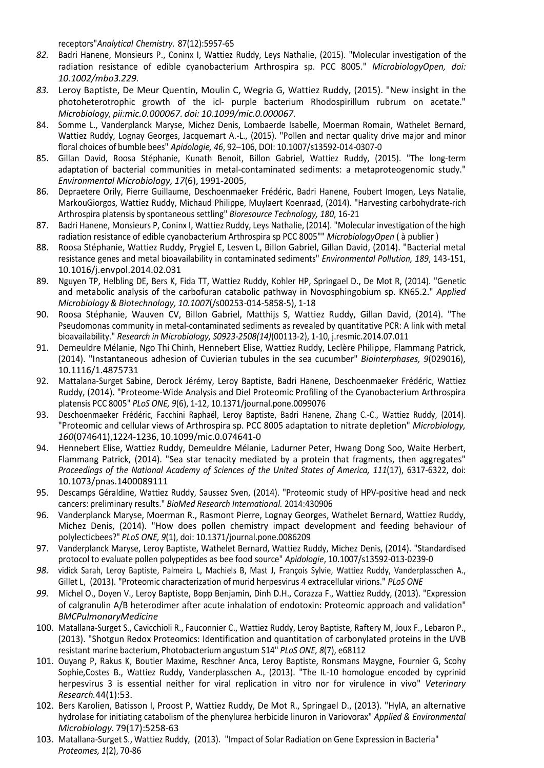receptors"Analytical Chemistry. 87(12):5957-65

- 82. Badri Hanene, Monsieurs P., Coninx I, Wattiez Ruddy, Leys Nathalie, (2015). "Molecular investigation of the radiation resistance of edible cyanobacterium Arthrospira sp. PCC 8005." MicrobiologyOpen, doi: 10.1002/mbo3.229.
- 83. Leroy Baptiste, De Meur Quentin, Moulin C, Wegria G, Wattiez Ruddy, (2015). "New insight in the photoheterotrophic growth of the icl- purple bacterium Rhodospirillum rubrum on acetate." Microbiology, pii: mic.0.000067. doi: 10.1099/mic.0.000067.
- 84. Somme L., Vanderplanck Maryse, Michez Denis, Lombaerde Isabelle, Moerman Romain, Wathelet Bernard, Wattiez Ruddy, Lognay Georges, Jacquemart A.-L., (2015). "Pollen and nectar quality drive major and minor floral choices of bumble bees" Apidologie, 46, 92–106, DOI: 10.1007/s13592-014-0307-0
- 85. Gillan David, Roosa Stéphanie, Kunath Benoit, Billon Gabriel, Wattiez Ruddy, (2015). "The long-term adaptation of bacterial communities in metal-contaminated sediments: a metaproteogenomic study." Environmental Microbiology, 17(6), 1991-2005,
- 86. Depraetere Orily, Pierre Guillaume, Deschoenmaeker Frédéric, Badri Hanene, Foubert Imogen, Leys Natalie, MarkouGiorgos, Wattiez Ruddy, Michaud Philippe, Muylaert Koenraad, (2014). "Harvesting carbohydrate-rich Arthrospira platensis by spontaneous settling" Bioresource Technology, 180, 16-21
- 87. Badri Hanene, Monsieurs P, Coninx I, Wattiez Ruddy, Leys Nathalie, (2014). "Molecular investigation of the high radiation resistance of edible cyanobacterium Arthrospira sp PCC 8005"" MicrobiologyOpen ( à publier )
- 88. Roosa Stéphanie, Wattiez Ruddy, Prygiel E, Lesven L, Billon Gabriel, Gillan David, (2014). "Bacterial metal resistance genes and metal bioavailability in contaminated sediments" Environmental Pollution, 189, 143-151, 10.1016/j.envpol.2014.02.031
- 89. Nguyen TP, Helbling DE, Bers K, Fida TT, Wattiez Ruddy, Kohler HP, Springael D., De Mot R, (2014). "Genetic and metabolic analysis of the carbofuran catabolic pathway in Novosphingobium sp. KN65.2." Applied Microbiology & Biotechnology, 10.1007(/s00253-014-5858-5), 1-18
- 90. Roosa Stéphanie, Wauven CV, Billon Gabriel, Matthijs S, Wattiez Ruddy, Gillan David, (2014). "The Pseudomonas community in metal-contaminated sediments as revealed by quantitative PCR: A link with metal bioavailability." Research in Microbiology, S0923-2508(14)(00113-2), 1-10, j.resmic.2014.07.011
- 91. Demeuldre Mélanie, Ngo Thi Chinh, Hennebert Elise, Wattiez Ruddy, Leclère Philippe, Flammang Patrick, (2014). "Instantaneous adhesion of Cuvierian tubules in the sea cucumber" Biointerphases, 9(029016), 10.1116/1.4875731
- 92. Mattalana-Surget Sabine, Derock Jérémy, Leroy Baptiste, Badri Hanene, Deschoenmaeker Frédéric, Wattiez Ruddy, (2014). "Proteome-Wide Analysis and Diel Proteomic Profiling of the Cyanobacterium Arthrospira platensis PCC 8005" PLoS ONE, 9(6), 1-12, 10.1371/journal.pone.0099076
- 93. Deschoenmaeker Frédéric, Facchini Raphaël, Leroy Baptiste, Badri Hanene, Zhang C.-C., Wattiez Ruddy, (2014). "Proteomic and cellular views of Arthrospira sp. PCC 8005 adaptation to nitrate depletion" Microbiology, 160(074641),1224-1236, 10.1099/mic.0.074641-0
- 94. Hennebert Elise, Wattiez Ruddy, Demeuldre Mélanie, Ladurner Peter, Hwang Dong Soo, Waite Herbert, Flammang Patrick, (2014). "Sea star tenacity mediated by a protein that fragments, then aggregates" Proceedings of the National Academy of Sciences of the United States of America, 111(17), 6317-6322, doi: 10.1073/pnas.1400089111
- 95. Descamps Géraldine, Wattiez Ruddy, Saussez Sven, (2014). "Proteomic study of HPV-positive head and neck cancers: preliminary results." BioMed Research International. 2014:430906
- 96. Vanderplanck Maryse, Moerman R., Rasmont Pierre, Lognay Georges, Wathelet Bernard, Wattiez Ruddy, Michez Denis, (2014). "How does pollen chemistry impact development and feeding behaviour of polylecticbees?" PLoS ONE, 9(1), doi: 10.1371/journal.pone.0086209
- 97. Vanderplanck Maryse, Leroy Baptiste, Wathelet Bernard, Wattiez Ruddy, Michez Denis, (2014). "Standardised protocol to evaluate pollen polypeptides as bee food source" Apidologie, 10.1007/s13592-013-0239-0
- 98. vidick Sarah, Leroy Baptiste, Palmeira L, Machiels B, Mast J, François Sylvie, Wattiez Ruddy, Vanderplasschen A., Gillet L, (2013). "Proteomic characterization of murid herpesvirus 4 extracellular virions." PLoS ONE
- 99. Michel O., Doyen V., Leroy Baptiste, Bopp Benjamin, Dinh D.H., Corazza F., Wattiez Ruddy, (2013). "Expression of calgranulin A/B heterodimer after acute inhalation of endotoxin: Proteomic approach and validation" **BMCPulmonaryMedicine**
- 100. Matallana-Surget S., Cavicchioli R., Fauconnier C., Wattiez Ruddy, Leroy Baptiste, Raftery M, Joux F., Lebaron P., (2013). "Shotgun Redox Proteomics: Identification and quantitation of carbonylated proteins in the UVB resistant marine bacterium, Photobacterium angustum S14" PLoS ONE, 8(7), e68112
- 101. Ouyang P, Rakus K, Boutier Maxime, Reschner Anca, Leroy Baptiste, Ronsmans Maygne, Fournier G, Scohy Sophie,Costes B., Wattiez Ruddy, Vanderplasschen A., (2013). "The IL-10 homologue encoded by cyprinid herpesvirus 3 is essential neither for viral replication in vitro nor for virulence in vivo" Veterinary Research. 44(1):53.
- 102. Bers Karolien, Batisson I, Proost P, Wattiez Ruddy, De Mot R., Springael D., (2013). "HylA, an alternative hydrolase for initiating catabolism of the phenylurea herbicide linuron in Variovorax" Applied & Environmental Microbiology. 79(17):5258-63
- 103. Matallana-Surget S., Wattiez Ruddy, (2013). "Impact of Solar Radiation on Gene Expression in Bacteria" Proteomes, 1(2), 70-86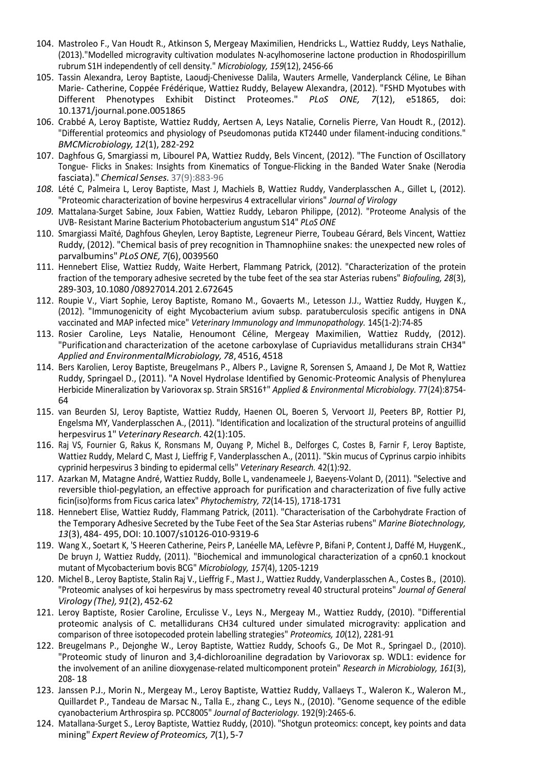- 104. Mastroleo F., Van Houdt R., Atkinson S, Mergeay Maximilien, Hendricks L., Wattiez Ruddy, Leys Nathalie, (2013)."Modelled microgravity cultivation modulates N-acylhomoserine lactone production in Rhodospirillum rubrum S1H independently of cell density." Microbiology, 159(12), 2456-66
- 105. Tassin Alexandra, Leroy Baptiste, Laoudj-Chenivesse Dalila, Wauters Armelle, Vanderplanck Céline, Le Bihan Marie- Catherine, Coppée Frédérique, Wattiez Ruddy, Belayew Alexandra, (2012). "FSHD Myotubes with Different Phenotypes Exhibit Distinct Proteomes." PLoS ONE, 7(12), e51865, doi: 10.1371/journal.pone.0051865
- 106. Crabbé A, Leroy Baptiste, Wattiez Ruddy, Aertsen A, Leys Natalie, Cornelis Pierre, Van Houdt R., (2012). "Differential proteomics and physiology of Pseudomonas putida KT2440 under filament-inducing conditions." BMCMicrobiology, 12(1), 282-292
- 107. Daghfous G, Smargiassi m, Libourel PA, Wattiez Ruddy, Bels Vincent, (2012). "The Function of Oscillatory Tongue- Flicks in Snakes: Insights from Kinematics of Tongue-Flicking in the Banded Water Snake (Nerodia fasciata)." Chemical Senses. 37(9):883-96
- 108. Lété C, Palmeira L, Leroy Baptiste, Mast J, Machiels B, Wattiez Ruddy, Vanderplasschen A., Gillet L, (2012). "Proteomic characterization of bovine herpesvirus 4 extracellular virions" Journal of Virology
- 109. Mattalana-Surget Sabine, Joux Fabien, Wattiez Ruddy, Lebaron Philippe, (2012). "Proteome Analysis of the UVB- Resistant Marine Bacterium Photobacterium angustum S14" PLoS ONE
- 110. Smargiassi Maïté, Daghfous Gheylen, Leroy Baptiste, Legreneur Pierre, Toubeau Gérard, Bels Vincent, Wattiez Ruddy, (2012). "Chemical basis of prey recognition in Thamnophiine snakes: the unexpected new roles of parvalbumins" PLoS ONE, 7(6), 0039560
- 111. Hennebert Elise, Wattiez Ruddy, Waite Herbert, Flammang Patrick, (2012). "Characterization of the protein fraction of the temporary adhesive secreted by the tube feet of the sea star Asterias rubens" Biofouling, 28(3), 289-303, 10.1080 /08927014.201 2.672645
- 112. Roupie V., Viart Sophie, Leroy Baptiste, Romano M., Govaerts M., Letesson J.J., Wattiez Ruddy, Huygen K., (2012). "Immunogenicity of eight Mycobacterium avium subsp. paratuberculosis specific antigens in DNA vaccinated and MAP infected mice" Veterinary Immunology and Immunopathology. 145(1-2):74-85
- 113. Rosier Caroline, Leys Natalie, Henoumont Céline, Mergeay Maximilien, Wattiez Ruddy, (2012). "Purification and characterization of the acetone carboxylase of Cupriavidus metallidurans strain CH34" Applied and EnvironmentalMicrobiology, 78, 4516, 4518
- 114. Bers Karolien, Leroy Baptiste, Breugelmans P., Albers P., Lavigne R, Sorensen S, Amaand J, De Mot R, Wattiez Ruddy, Springael D., (2011). "A Novel Hydrolase Identified by Genomic-Proteomic Analysis of Phenylurea Herbicide Mineralization by Variovorax sp. Strain SRS16<sup>+</sup>" Applied & Environmental Microbiology. 77(24):8754-64
- 115. van Beurden SJ, Leroy Baptiste, Wattiez Ruddy, Haenen OL, Boeren S, Vervoort JJ, Peeters BP, Rottier PJ, Engelsma MY, Vanderplasschen A., (2011). "Identification and localization of the structural proteins of anguillid herpesvirus 1" Veterinary Research. 42(1):105.
- 116. Raj VS, Fournier G, Rakus K, Ronsmans M, Ouyang P, Michel B., Delforges C, Costes B, Farnir F, Leroy Baptiste, Wattiez Ruddy, Melard C, Mast J, Lieffrig F, Vanderplasschen A., (2011). "Skin mucus of Cyprinus carpio inhibits cyprinid herpesvirus 3 binding to epidermal cells" Veterinary Research. 42(1):92.
- 117. Azarkan M, Matagne André, Wattiez Ruddy, Bolle L, vandenameele J, Baeyens-Volant D, (2011). "Selective and reversible thiol-pegylation, an effective approach for purification and characterization of five fully active ficin (iso)forms from Ficus carica latex" Phytochemistry, 72(14-15), 1718-1731
- 118. Hennebert Elise, Wattiez Ruddy, Flammang Patrick, (2011). "Characterisation of the Carbohydrate Fraction of the Temporary Adhesive Secreted by the Tube Feet of the Sea Star Asterias rubens" Marine Biotechnology, 13(3), 484- 495, DOI: 10.1007/s10126-010-9319-6
- 119. Wang X., Soetart K, 'S Heeren Catherine, Peirs P, Lanéelle MA, Lefèvre P, Bifani P, Content J, Daffé M, HuygenK., De bruyn J, Wattiez Ruddy, (2011). "Biochemical and immunological characterization of a cpn60.1 knockout mutant of Mycobacterium bovis BCG" Microbiology, 157(4), 1205-1219
- 120. Michel B., Leroy Baptiste, Stalin Raj V., Lieffrig F., Mast J., Wattiez Ruddy, Vanderplasschen A., Costes B., (2010). "Proteomic analyses of koi herpesvirus by mass spectrometry reveal 40 structural proteins" Journal of General Virology (The), 91(2), 452-62
- 121. Leroy Baptiste, Rosier Caroline, Erculisse V., Leys N., Mergeay M., Wattiez Ruddy, (2010). "Differential proteomic analysis of C. metallidurans CH34 cultured under simulated microgravity: application and comparison of three isotopecoded protein labelling strategies" Proteomics, 10(12), 2281-91
- 122. Breugelmans P., Dejonghe W., Leroy Baptiste, Wattiez Ruddy, Schoofs G., De Mot R., Springael D., (2010). "Proteomic study of linuron and 3,4-dichloroaniline degradation by Variovorax sp. WDL1: evidence for the involvement of an aniline dioxygenase-related multicomponent protein" Research in Microbiology, 161(3), 208- 18
- 123. Janssen P.J., Morin N., Mergeay M., Leroy Baptiste, Wattiez Ruddy, Vallaeys T., Waleron K., Waleron M., Quillardet P., Tandeau de Marsac N., Talla E., zhang C., Leys N., (2010). "Genome sequence of the edible cyanobacterium Arthrospira sp. PCC8005" Journal of Bacteriology. 192(9):2465-6.
- 124. Matallana-Surget S., Leroy Baptiste, Wattiez Ruddy, (2010). "Shotgun proteomics: concept, key points and data mining" Expert Review of Proteomics, 7(1), 5-7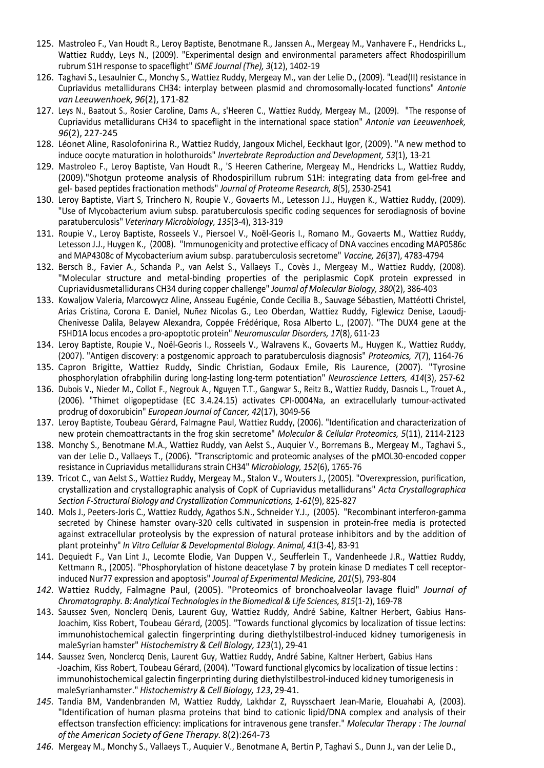- 125. Mastroleo F., Van Houdt R., Leroy Baptiste, Benotmane R., Janssen A., Mergeay M., Vanhavere F., Hendricks L., Wattiez Ruddy, Leys N., (2009). "Experimental design and environmental parameters affect Rhodospirillum rubrum S1H response to spaceflight" ISME Journal (The), 3(12), 1402-19
- 126. Taghavi S., Lesaulnier C., Monchy S., Wattiez Ruddy, Mergeay M., van der Lelie D., (2009). "Lead(II) resistance in Cupriavidus metallidurans CH34: interplay between plasmid and chromosomally-located functions" Antonie van Leeuwenhoek, 96(2), 171-82
- 127. Leys N., Baatout S., Rosier Caroline, Dams A., s'Heeren C., Wattiez Ruddy, Mergeay M., (2009). "The response of Cupriavidus metallidurans CH34 to spaceflight in the international space station" Antonie van Leeuwenhoek, 96(2), 227-245
- 128. Léonet Aline, Rasolofonirina R., Wattiez Ruddy, Jangoux Michel, Eeckhaut Igor, (2009). "A new method to induce oocyte maturation in holothuroids" Invertebrate Reproduction and Development, 53(1), 13-21
- 129. Mastroleo F., Leroy Baptiste, Van Houdt R., 'S Heeren Catherine, Mergeay M., Hendricks L., Wattiez Ruddy, (2009)."Shotgun proteome analysis of Rhodospirillum rubrum S1H: integrating data from gel-free and gel- based peptides fractionation methods" Journal of Proteome Research, 8(5), 2530-2541
- 130. Leroy Baptiste, Viart S, Trinchero N, Roupie V., Govaerts M., Letesson J.J., Huygen K., Wattiez Ruddy, (2009). "Use of Mycobacterium avium subsp. paratuberculosis specific coding sequences for serodiagnosis of bovine paratuberculosis" Veterinary Microbiology, 135(3-4), 313-319
- 131. Roupie V., Leroy Baptiste, Rosseels V., Piersoel V., Noël-Georis I., Romano M., Govaerts M., Wattiez Ruddy, Letesson J.J., Huygen K., (2008). "Immunogenicity and protective efficacy of DNA vaccines encoding MAP0586c and MAP4308c of Mycobacterium avium subsp. paratuberculosis secretome" Vaccine, 26(37), 4783-4794
- 132. Bersch B., Favier A., Schanda P., van Aelst S., Vallaeys T., Covès J., Mergeay M., Wattiez Ruddy, (2008). "Molecular structure and metal-binding properties of the periplasmic CopK protein expressed in Cupriavidus metallidurans CH34 during copper challenge" Journal of Molecular Biology, 380(2), 386-403
- 133. Kowaljow Valeria, Marcowycz Aline, Ansseau Eugénie, Conde Cecilia B., Sauvage Sébastien, Mattéotti Christel, Arias Cristina, Corona E. Daniel, Nuñez Nicolas G., Leo Oberdan, Wattiez Ruddy, Figlewicz Denise, Laoudj-Chenivesse Dalila, Belayew Alexandra, Coppée Frédérique, Rosa Alberto L., (2007). "The DUX4 gene at the FSHD1A locus encodes a pro-apoptotic protein" Neuromuscular Disorders, 17(8), 611-23
- 134. Leroy Baptiste, Roupie V., Noël-Georis I., Rosseels V., Walravens K., Govaerts M., Huygen K., Wattiez Ruddy, (2007). "Antigen discovery: a postgenomic approach to paratuberculosis diagnosis" Proteomics, 7(7), 1164-76
- 135. Capron Brigitte, Wattiez Ruddy, Sindic Christian, Godaux Emile, Ris Laurence, (2007). "Tyrosine phosphorylation ofrabphilin during long-lasting long-term potentiation" Neuroscience Letters, 414(3), 257-62
- 136. Dubois V., Nieder M., Collot F., Negrouk A., Nguyen T.T., Gangwar S., Reitz B., Wattiez Ruddy, Dasnois L., Trouet A., (2006). "Thimet oligopeptidase (EC 3.4.24.15) activates CPI-0004Na, an extracellularly tumour-activated prodrug of doxorubicin" European Journal of Cancer, 42(17), 3049-56
- 137. Leroy Baptiste, Toubeau Gérard, Falmagne Paul, Wattiez Ruddy, (2006). "Identification and characterization of new protein chemoattractants in the frog skin secretome" Molecular & Cellular Proteomics, 5(11), 2114-2123
- 138. Monchy S., Benotmane M.A., Wattiez Ruddy, van Aelst S., Auquier V., Borremans B., Mergeay M., Taghavi S., van der Lelie D., Vallaeys T., (2006). "Transcriptomic and proteomic analyses of the pMOL30-encoded copper resistance in Cupriavidus metallidurans strain CH34" Microbiology, 152(6), 1765-76
- 139. Tricot C., van Aelst S., Wattiez Ruddy, Mergeay M., Stalon V., Wouters J., (2005). "Overexpression, purification, crystallization and crystallographic analysis of CopK of Cupriavidus metallidurans" Acta Crystallographica Section F-Structural Biology and Crystallization Communications, 1-61(9), 825-827
- 140. Mols J., Peeters-Joris C., Wattiez Ruddy, Agathos S.N., Schneider Y.J., (2005). "Recombinant interferon-gamma secreted by Chinese hamster ovary-320 cells cultivated in suspension in protein-free media is protected against extracellular proteolysis by the expression of natural protease inhibitors and by the addition of plant protein hy" In Vitro Cellular & Developmental Biology. Animal, 41(3-4), 83-91
- 141. Dequiedt F., Van Lint J., Lecomte Elodie, Van Duppen V., Seufferlein T., Vandenheede J.R., Wattiez Ruddy, Kettmann R., (2005). "Phosphorylation of histone deacetylase 7 by protein kinase D mediates T cell receptorinduced Nur77 expression and apoptosis" Journal of Experimental Medicine, 201(5), 793-804
- 142. Wattiez Ruddy, Falmagne Paul, (2005). "Proteomics of bronchoalveolar lavage fluid" Journal of Chromatography. B: Analytical Technologies in the Biomedical & Life Sciences, 815(1-2), 169-78
- 143. Saussez Sven, Nonclerq Denis, Laurent Guy, Wattiez Ruddy, André Sabine, Kaltner Herbert, Gabius Hans-Joachim, Kiss Robert, Toubeau Gérard, (2005). "Towards functional glycomics by localization of tissue lectins: immunohistochemical galectin fingerprinting during diethylstilbestrol-induced kidney tumorigenesis in male Syrian hamster" Histochemistry & Cell Biology, 123(1), 29-41
- 144. Saussez Sven, Nonclercq Denis, Laurent Guy, Wattiez Ruddy, André Sabine, Kaltner Herbert, Gabius Hans -Joachim, Kiss Robert, Toubeau Gérard, (2004). "Toward functional glycomics by localization of tissue lectins : immunohistochemical galectin fingerprinting during diethylstilbestrol-induced kidney tumorigenesis in male Syrianhamster." Histochemistry & Cell Biology, 123, 29-41.
- 145. Tandia BM, Vandenbranden M, Wattiez Ruddy, Lakhdar Z, Ruysschaert Jean-Marie, Elouahabi A, (2003). "Identification of human plasma proteins that bind to cationic lipid/DNA complex and analysis of their effects on transfection efficiency: implications for intravenous gene transfer." Molecular Therapy : The Journal of the American Society of Gene Therapy. 8(2):264-73
- 146. Mergeay M., Monchy S., Vallaeys T., Auquier V., Benotmane A, Bertin P, Taghavi S., Dunn J., van der Lelie D.,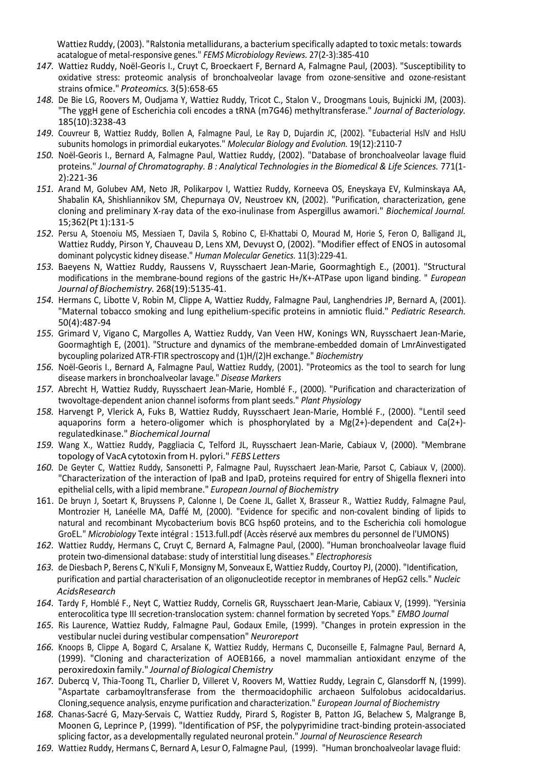Wattiez Ruddy, (2003). "Ralstonia metallidurans, a bacterium specifically adapted to toxic metals: towards acatalogue of metal-responsive genes." FEMS Microbiology Reviews. 27(2-3):385-410

- 147. Wattiez Ruddy, Noël-Georis I., Cruyt C, Broeckaert F, Bernard A, Falmagne Paul, (2003). "Susceptibility to oxidative stress: proteomic analysis of bronchoalveolar lavage from ozone-sensitive and ozone-resistant strains ofmice." Proteomics. 3(5):658-65
- 148. De Bie LG, Roovers M, Oudjama Y, Wattiez Ruddy, Tricot C., Stalon V., Droogmans Louis, Bujnicki JM, (2003). "The yggH gene of Escherichia coli encodes a tRNA (m7G46) methyltransferase." Journal of Bacteriology. 185(10):3238-43
- 149. Couvreur B, Wattiez Ruddy, Bollen A, Falmagne Paul, Le Ray D, Dujardin JC, (2002). "Eubacterial HslV and HslU subunits homologs in primordial eukaryotes." Molecular Biology and Evolution. 19(12):2110-7
- 150. Noël-Georis I., Bernard A, Falmagne Paul, Wattiez Ruddy, (2002). "Database of bronchoalveolar lavage fluid proteins." Journal of Chromatography. B : Analytical Technologies in the Biomedical & Life Sciences. 771(1- 2):221-36
- 151. Arand M, Golubev AM, Neto JR, Polikarpov I, Wattiez Ruddy, Korneeva OS, Eneyskaya EV, Kulminskaya AA, Shabalin KA, Shishliannikov SM, Chepurnaya OV, Neustroev KN, (2002). "Purification, characterization, gene cloning and preliminary X-ray data of the exo-inulinase from Aspergillus awamori." Biochemical Journal. 15;362(Pt 1):131-5
- 152. Persu A, Stoenoiu MS, Messiaen T, Davila S, Robino C, El-Khattabi O, Mourad M, Horie S, Feron O, Balligand JL, Wattiez Ruddy, Pirson Y, Chauveau D, Lens XM, Devuyst O, (2002). "Modifier effect of ENOS in autosomal dominant polycystic kidney disease." Human Molecular Genetics. 11(3):229-41.
- 153. Baeyens N, Wattiez Ruddy, Raussens V, Ruysschaert Jean-Marie, Goormaghtigh E., (2001). "Structural modifications in the membrane-bound regions of the gastric H+/K+-ATPase upon ligand binding. " European Journal of Biochemistry. 268(19):5135-41.
- 154. Hermans C, Libotte V, Robin M, Clippe A, Wattiez Ruddy, Falmagne Paul, Langhendries JP, Bernard A, (2001). "Maternal tobacco smoking and lung epithelium-specific proteins in amniotic fluid." Pediatric Research. 50(4):487-94
- 155. Grimard V, Vigano C, Margolles A, Wattiez Ruddy, Van Veen HW, Konings WN, Ruysschaert Jean-Marie, Goormaghtigh E, (2001). "Structure and dynamics of the membrane-embedded domain of LmrAinvestigated bycoupling polarized ATR-FTIR spectroscopy and (1)H/(2)H exchange." Biochemistry
- 156. Noël-Georis I., Bernard A, Falmagne Paul, Wattiez Ruddy, (2001). "Proteomics as the tool to search for lung disease markers in bronchoalveolar lavage." Disease Markers
- 157. Abrecht H, Wattiez Ruddy, Ruysschaert Jean-Marie, Homblé F., (2000). "Purification and characterization of twovoltage-dependent anion channel isoforms from plant seeds." Plant Physiology
- 158. Harvengt P, Vlerick A, Fuks B, Wattiez Ruddy, Ruysschaert Jean-Marie, Homblé F., (2000). "Lentil seed aquaporins form a hetero-oligomer which is phosphorylated by a  $Mg(2+)$ -dependent and  $Ca(2+)$ regulated kinase." Biochemical Journal
- 159. Wang X., Wattiez Ruddy, Paggliacia C, Telford JL, Ruysschaert Jean-Marie, Cabiaux V, (2000). "Membrane topology of VacA cytotoxin from H. pylori." FEBS Letters
- 160. De Geyter C, Wattiez Ruddy, Sansonetti P, Falmagne Paul, Ruysschaert Jean-Marie, Parsot C, Cabiaux V, (2000). "Characterization of the interaction of IpaB and IpaD, proteins required for entry of Shigella flexneri into epithelial cells, with a lipid membrane." European Journal of Biochemistry
- 161. De bruyn J, Soetart K, Bruyssens P, Calonne I, De Coene JL, Gallet X, Brasseur R., Wattiez Ruddy, Falmagne Paul, Montrozier H, Lanéelle MA, Daffé M, (2000). "Evidence for specific and non-covalent binding of lipids to natural and recombinant Mycobacterium bovis BCG hsp60 proteins, and to the Escherichia coli homologue GroEL." Microbiology Texte intégral : 1513.full.pdf (Accès réservé aux membres du personnel de l'UMONS)
- 162. Wattiez Ruddy, Hermans C, Cruyt C, Bernard A, Falmagne Paul, (2000). "Human bronchoalveolar lavage fluid protein two-dimensional database: study of interstitial lung diseases." Electrophoresis
- 163. de Diesbach P, Berens C, N'Kuli F, Monsigny M, Sonveaux E, Wattiez Ruddy, Courtoy PJ, (2000). "Identification, purification and partial characterisation of an oligonucleotide receptor in membranes of HepG2 cells." Nucleic AcidsResearch
- 164. Tardy F, Homblé F., Neyt C, Wattiez Ruddy, Cornelis GR, Ruysschaert Jean-Marie, Cabiaux V, (1999). "Yersinia enterocolitica type III secretion-translocation system: channel formation by secreted Yops." EMBO Journal
- 165. Ris Laurence, Wattiez Ruddy, Falmagne Paul, Godaux Emile, (1999). "Changes in protein expression in the vestibular nuclei during vestibular compensation" Neuroreport
- 166. Knoops B, Clippe A, Bogard C, Arsalane K, Wattiez Ruddy, Hermans C, Duconseille E, Falmagne Paul, Bernard A, (1999). "Cloning and characterization of AOEB166, a novel mammalian antioxidant enzyme of the peroxiredoxin family." Journal of Biological Chemistry
- 167. Dubercq V, Thia-Toong TL, Charlier D, Villeret V, Roovers M, Wattiez Ruddy, Legrain C, Glansdorff N, (1999). "Aspartate carbamoyltransferase from the thermoacidophilic archaeon Sulfolobus acidocaldarius. Cloning, sequence analysis, enzyme purification and characterization." European Journal of Biochemistry
- 168. Chanas-Sacré G, Mazy-Servais C, Wattiez Ruddy, Pirard S, Rogister B, Patton JG, Belachew S, Malgrange B, Moonen G, Leprince P, (1999). "Identification of PSF, the polypyrimidine tract-binding protein-associated splicing factor, as a developmentally regulated neuronal protein." Journal of Neuroscience Research
- 169. Wattiez Ruddy, Hermans C, Bernard A, Lesur O, Falmagne Paul, (1999). "Human bronchoalveolar lavage fluid: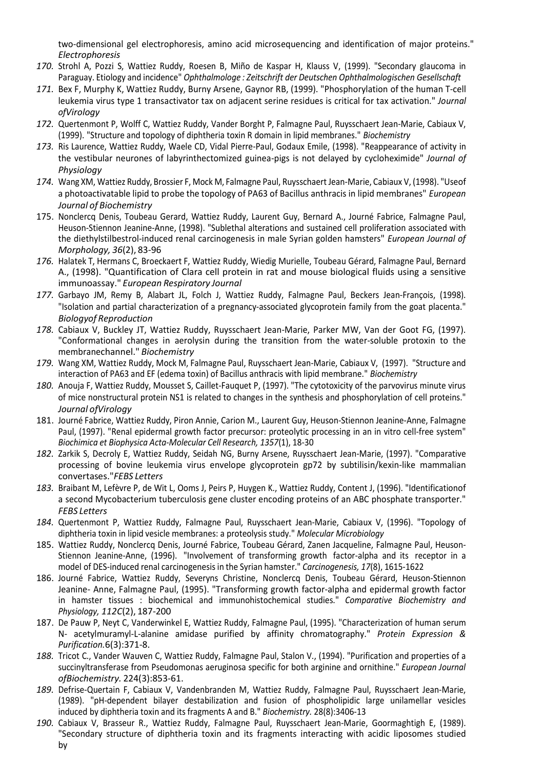two-dimensional gel electrophoresis, amino acid microsequencing and identification of major proteins." Electrophoresis

- 170. Strohl A, Pozzi S, Wattiez Ruddy, Roesen B, Miño de Kaspar H, Klauss V, (1999). "Secondary glaucoma in Paraguay. Etiology and incidence" Ophthalmologe : Zeitschrift der Deutschen Ophthalmologischen Gesellschaft
- 171. Bex F, Murphy K, Wattiez Ruddy, Burny Arsene, Gaynor RB, (1999). "Phosphorylation of the human T-cell leukemia virus type 1 transactivator tax on adjacent serine residues is critical for tax activation." Journal of Virology
- 172. Quertenmont P, Wolff C, Wattiez Ruddy, Vander Borght P, Falmagne Paul, Ruysschaert Jean-Marie, Cabiaux V, (1999). "Structure and topology of diphtheria toxin R domain in lipid membranes." Biochemistry
- 173. Ris Laurence, Wattiez Ruddy, Waele CD, Vidal Pierre-Paul, Godaux Emile, (1998). "Reappearance of activity in the vestibular neurones of labyrinthectomized guinea-pigs is not delayed by cycloheximide" Journal of Physiology
- 174. Wang XM, Wattiez Ruddy, Brossier F, Mock M, Falmagne Paul, Ruysschaert Jean-Marie, Cabiaux V, (1998). "Useof a photoactivatable lipid to probe the topology of PA63 of Bacillus anthracis in lipid membranes" European Journal of Biochemistry
- 175. Nonclercq Denis, Toubeau Gerard, Wattiez Ruddy, Laurent Guy, Bernard A., Journé Fabrice, Falmagne Paul, Heuson-Stiennon Jeanine-Anne, (1998). "Sublethal alterations and sustained cell proliferation associated with the diethylstilbestrol-induced renal carcinogenesis in male Syrian golden hamsters" European Journal of Morphology, 36(2), 83-96
- 176. Halatek T, Hermans C, Broeckaert F, Wattiez Ruddy, Wiedig Murielle, Toubeau Gérard, Falmagne Paul, Bernard A., (1998). "Quantification of Clara cell protein in rat and mouse biological fluids using a sensitive immunoassay." European Respiratory Journal
- 177. Garbayo JM, Remy B, Alabart JL, Folch J, Wattiez Ruddy, Falmagne Paul, Beckers Jean-François, (1998). "Isolation and partial characterization of a pregnancy-associated glycoprotein family from the goat placenta." Biologyof Reproduction
- 178. Cabiaux V, Buckley JT, Wattiez Ruddy, Ruysschaert Jean-Marie, Parker MW, Van der Goot FG, (1997). "Conformational changes in aerolysin during the transition from the water-soluble protoxin to the membranechannel." Biochemistry
- 179. Wang XM, Wattiez Ruddy, Mock M, Falmagne Paul, Ruysschaert Jean-Marie, Cabiaux V, (1997). "Structure and interaction of PA63 and EF (edema toxin) of Bacillus anthracis with lipid membrane." Biochemistry
- 180. Anouja F, Wattiez Ruddy, Mousset S, Caillet-Fauquet P, (1997). "The cytotoxicity of the parvovirus minute virus of mice nonstructural protein NS1 is related to changes in the synthesis and phosphorylation of cell proteins." Journal ofVirology
- 181. Journé Fabrice, Wattiez Ruddy, Piron Annie, Carion M., Laurent Guy, Heuson-Stiennon Jeanine-Anne, Falmagne Paul, (1997). "Renal epidermal growth factor precursor: proteolytic processing in an in vitro cell-free system" Biochimica et Biophysica Acta-Molecular Cell Research, 1357(1), 18-30
- 182. Zarkik S, Decroly E, Wattiez Ruddy, Seidah NG, Burny Arsene, Ruysschaert Jean-Marie, (1997). "Comparative processing of bovine leukemia virus envelope glycoprotein gp72 by subtilisin/kexin-like mammalian convertases."FEBS Letters
- 183. Braibant M, Lefèvre P, de Wit L, Ooms J, Peirs P, Huygen K., Wattiez Ruddy, Content J, (1996). "Identification of a second Mycobacterium tuberculosis gene cluster encoding proteins of an ABC phosphate transporter." FEBS Letters
- 184. Quertenmont P, Wattiez Ruddy, Falmagne Paul, Ruysschaert Jean-Marie, Cabiaux V, (1996). "Topology of diphtheria toxin in lipid vesicle membranes: a proteolysis study." Molecular Microbiology
- 185. Wattiez Ruddy, Nonclercq Denis, Journé Fabrice, Toubeau Gérard, Zanen Jacqueline, Falmagne Paul, Heuson-Stiennon Jeanine-Anne, (1996). "Involvement of transforming growth factor-alpha and its receptor in a model of DES-induced renal carcinogenesis in the Syrian hamster." Carcinogenesis, 17(8), 1615-1622
- 186. Journé Fabrice, Wattiez Ruddy, Severyns Christine, Nonclercq Denis, Toubeau Gérard, Heuson-Stiennon Jeanine- Anne, Falmagne Paul, (1995). "Transforming growth factor-alpha and epidermal growth factor in hamster tissues : biochemical and immunohistochemical studies." Comparative Biochemistry and Physiology, 112C(2), 187-200
- 187. De Pauw P, Neyt C, Vanderwinkel E, Wattiez Ruddy, Falmagne Paul, (1995). "Characterization of human serum N- acetylmuramyl-L-alanine amidase purified by affinity chromatography." Protein Expression & Purification. 6(3):371-8.
- 188. Tricot C., Vander Wauven C, Wattiez Ruddy, Falmagne Paul, Stalon V., (1994). "Purification and properties of a succinyltransferase from Pseudomonas aeruginosa specific for both arginine and ornithine." European Journal ofBiochemistry. 224(3):853-61.
- 189. Defrise-Quertain F, Cabiaux V, Vandenbranden M, Wattiez Ruddy, Falmagne Paul, Ruysschaert Jean-Marie, (1989). "pH-dependent bilayer destabilization and fusion of phospholipidic large unilamellar vesicles induced by diphtheria toxin and its fragments A and B." Biochemistry. 28(8):3406-13
- 190. Cabiaux V, Brasseur R., Wattiez Ruddy, Falmagne Paul, Ruysschaert Jean-Marie, Goormaghtigh E, (1989). "Secondary structure of diphtheria toxin and its fragments interacting with acidic liposomes studied by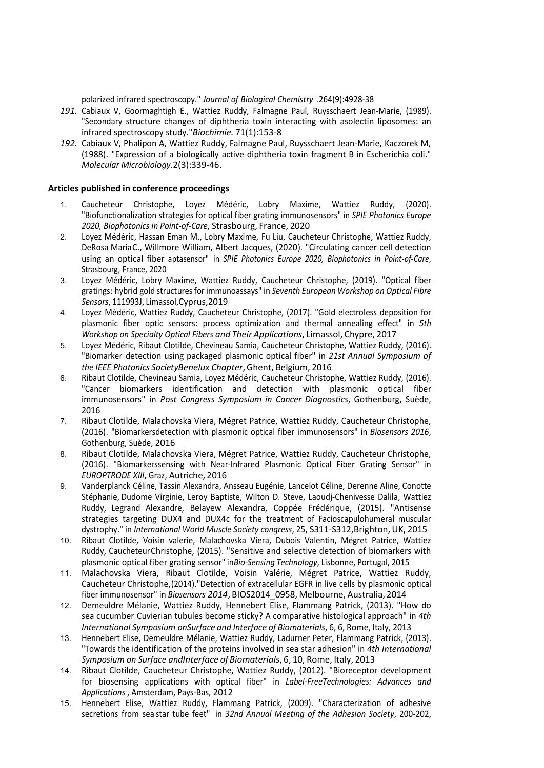polarized infrared spectroscopy." Journal of Biological Chemistry .264(9):4928-38

- 191. Cabiaux V, Goormaghtigh E., Wattiez Ruddy, Falmagne Paul, Ruysschaert Jean-Marie, (1989). "Secondary structure changes of diphtheria toxin interacting with asolectin liposomes: an infrared spectroscopy study." Biochimie. 71(1):153-8
- 192. Cabiaux V, Phalipon A, Wattiez Ruddy, Falmagne Paul, Ruysschaert Jean-Marie, Kaczorek M, (1988). "Expression of a biologically active diphtheria toxin fragment B in Escherichia coli." Molecular Microbiology. 2(3):339-46.

#### Articles published in conference proceedings

- 1. Caucheteur Christophe, Loyez Médéric, Lobry Maxime, Wattiez Ruddy, (2020). "Biofunctionalization strategies for optical fiber grating immunosensors" in SPIE Photonics Europe 2020, Biophotonics in Point-of-Care, Strasbourg, France, 2020
- 2. Loyez Médéric, Hassan Eman M., Lobry Maxime, Fu Liu, Caucheteur Christophe, Wattiez Ruddy, DeRosa Maria C., Willmore William, Albert Jacques, (2020). "Circulating cancer cell detection using an optical fiber aptasensor" in SPIE Photonics Europe 2020, Biophotonics in Point-of-Care, Strasbourg, France, 2020
- 3. Loyez Médéric, Lobry Maxime, Wattiez Ruddy, Caucheteur Christophe, (2019). "Optical fiber gratings: hybrid gold structures for immunoassays" in Seventh European Workshop on Optical Fibre Sensors, 111993J, Limassol, Cyprus, 2019
- 4. Loyez Médéric, Wattiez Ruddy, Caucheteur Christophe, (2017). "Gold electroless deposition for plasmonic fiber optic sensors: process optimization and thermal annealing effect" in 5th Workshop on Specialty Optical Fibers and Their Applications, Limassol, Chypre, 2017
- 5. Loyez Médéric, Ribaut Clotilde, Chevineau Samia, Caucheteur Christophe, Wattiez Ruddy, (2016). "Biomarker detection using packaged plasmonic optical fiber" in 21st Annual Symposium of the IEEE Photonics Society Benelux Chapter, Ghent, Belgium, 2016
- 6. Ribaut Clotilde, Chevineau Samia, Loyez Médéric, Caucheteur Christophe, Wattiez Ruddy, (2016). "Cancer biomarkers identification and detection with plasmonic optical fiber immunosensors" in Post Congress Symposium in Cancer Diagnostics, Gothenburg, Suède, 2016
- 7. Ribaut Clotilde, Malachovska Viera, Mégret Patrice, Wattiez Ruddy, Caucheteur Christophe, (2016). "Biomarkersdetection with plasmonic optical fiber immunosensors" in Biosensors 2016, Gothenburg, Suède, 2016
- 8. Ribaut Clotilde, Malachovska Viera, Mégret Patrice, Wattiez Ruddy, Caucheteur Christophe, (2016). "Biomarkerssensing with Near-Infrared Plasmonic Optical Fiber Grating Sensor" in EUROPTRODE XIII, Graz, Autriche, 2016
- 9. Vanderplanck Céline, Tassin Alexandra, Ansseau Eugénie, Lancelot Céline, Derenne Aline, Conotte Stéphanie, Dudome Virginie, Leroy Baptiste, Wilton D. Steve, Laoudj-Chenivesse Dalila, Wattiez Ruddy, Legrand Alexandre, Belayew Alexandra, Coppée Frédérique, (2015). "Antisense strategies targeting DUX4 and DUX4c for the treatment of Facioscapulohumeral muscular dystrophy." in International World Muscle Society congress, 25, S311-S312,Brighton, UK, 2015
- 10. Ribaut Clotilde, Voisin valerie, Malachovska Viera, Dubois Valentin, Mégret Patrice, Wattiez Ruddy, Caucheteur Christophe, (2015). "Sensitive and selective detection of biomarkers with plasmonic optical fiber grating sensor" inBio-Sensing Technology, Lisbonne, Portugal, 2015
- 11. Malachovska Viera, Ribaut Clotilde, Voisin Valérie, Mégret Patrice, Wattiez Ruddy, Caucheteur Christophe, (2014)."Detection of extracellular EGFR in live cells by plasmonic optical fiber immunosensor" in Biosensors 2014, BIOS2014\_0958, Melbourne, Australia, 2014
- 12. Demeuldre Mélanie, Wattiez Ruddy, Hennebert Elise, Flammang Patrick, (2013). "How do sea cucumber Cuvierian tubules become sticky? A comparative histological approach" in 4th International Symposium on Surface and Interface of Biomaterials, 6, 6, Rome, Italy, 2013
- 13. Hennebert Elise, Demeuldre Mélanie, Wattiez Ruddy, Ladurner Peter, Flammang Patrick, (2013). "Towards the identification of the proteins involved in sea star adhesion" in 4th International Symposium on Surface and Interface of Biomaterials, 6, 10, Rome, Italy, 2013
- 14. Ribaut Clotilde, Caucheteur Christophe, Wattiez Ruddy, (2012). "Bioreceptor development for biosensing applications with optical fiber" in Label-FreeTechnologies: Advances and Applications , Amsterdam, Pays-Bas, 2012
- 15. Hennebert Elise, Wattiez Ruddy, Flammang Patrick, (2009). "Characterization of adhesive secretions from sea star tube feet" in 32nd Annual Meeting of the Adhesion Society, 200-202,